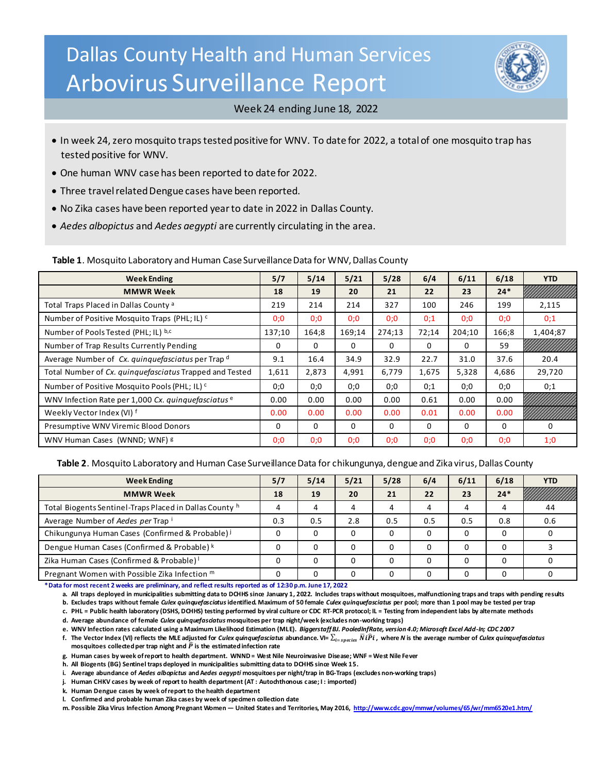# Dallas County Health and Human Services Arbovirus Surveillance Report



### Week 24 ending June 18, 2022

- In week 24, zero mosquito traps tested positive for WNV. To date for 2022, a total of one mosquito trap has tested positive for WNV.
- One human WNV case has been reported to date for 2022.
- Three travel related Dengue cases have been reported.
- No Zika cases have been reported year to date in 2022 in Dallas County.
- *Aedes albopictus* and *Aedes aegypti* are currently circulating in the area.

**Table 1**. Mosquito Laboratory and Human Case Surveillance Data for WNV, Dallas County

| <b>Week Ending</b>                                       | 5/7    | 5/14     | 5/21   | 5/28     | 6/4   | 6/11   | 6/18  | <b>YTD</b> |
|----------------------------------------------------------|--------|----------|--------|----------|-------|--------|-------|------------|
| <b>MMWR Week</b>                                         | 18     | 19       | 20     | 21       | 22    | 23     | $24*$ |            |
| Total Traps Placed in Dallas County <sup>a</sup>         | 219    | 214      | 214    | 327      | 100   | 246    | 199   | 2,115      |
| Number of Positive Mosquito Traps (PHL; IL) <sup>c</sup> | 0;0    | 0;0      | 0;0    | 0:0      | 0:1   | 0;0    | 0;0   | 0;1        |
| Number of Pools Tested (PHL; IL) b,c                     | 137;10 | 164;8    | 169;14 | 274;13   | 72:14 | 204;10 | 166;8 | 1,404;87   |
| Number of Trap Results Currently Pending                 | 0      | $\Omega$ | 0      | $\Omega$ | 0     | 0      | 59    |            |
| Average Number of Cx. quinquefasciatus per Trap d        | 9.1    | 16.4     | 34.9   | 32.9     | 22.7  | 31.0   | 37.6  | 20.4       |
| Total Number of Cx. quinquefasciatus Trapped and Tested  | 1,611  | 2,873    | 4,991  | 6,779    | 1,675 | 5,328  | 4,686 | 29,720     |
| Number of Positive Mosquito Pools (PHL; IL) <sup>c</sup> | 0;0    | 0;0      | 0;0    | 0;0      | 0:1   | 0;0    | 0;0   | 0;1        |
| WNV Infection Rate per 1,000 Cx. quinquefasciatus e      | 0.00   | 0.00     | 0.00   | 0.00     | 0.61  | 0.00   | 0.00  |            |
| Weekly Vector Index (VI) f                               | 0.00   | 0.00     | 0.00   | 0.00     | 0.01  | 0.00   | 0.00  |            |
| Presumptive WNV Viremic Blood Donors                     | 0      | $\Omega$ | 0      | 0        | 0     | 0      | 0     | 0          |
| WNV Human Cases (WNND; WNF) 8                            | 0:0    | 0;0      | 0;0    | 0;0      | 0:0   | 0:0    | 0;0   | 1:0        |

**Table 2**. Mosquito Laboratory and Human Case Surveillance Data for chikungunya, dengue and Zika virus, Dallas County

| <b>Week Ending</b>                                      | 5/7 | 5/14         | 5/21     | 5/28 | 6/4 | 6/11 | 6/18  | <b>YTD</b> |
|---------------------------------------------------------|-----|--------------|----------|------|-----|------|-------|------------|
| <b>MMWR Week</b>                                        | 18  | 19           | 20       | 21   | 22  | 23   | $24*$ |            |
| Total Biogents Sentinel-Traps Placed in Dallas County h |     | 4            | 4        |      |     | 4    |       | 44         |
| Average Number of Aedes per Trap i                      | 0.3 | 0.5          | 2.8      | 0.5  | 0.5 | 0.5  | 0.8   | 0.6        |
| Chikungunya Human Cases (Confirmed & Probable) i        |     |              | 0        |      |     |      |       |            |
| Dengue Human Cases (Confirmed & Probable) k             |     | <sup>0</sup> | $\Omega$ |      |     |      |       |            |
| Zika Human Cases (Confirmed & Probable) <sup>1</sup>    |     |              | $\Omega$ |      |     |      |       |            |
| Pregnant Women with Possible Zika Infection m           |     |              | 0        |      |     |      |       |            |

**\*Data for most recent 2 weeks are preliminary, and reflect results reported as of 12:30 p.m. June 17, 2022**

**a. All traps deployed in municipalities submitting data to DCHHS since January 1, 2022. Includes traps without mosquitoes, malfunctioning traps and traps with pending results**

**b. Excludes traps without female** *Culex quinquefasciatus***identified. Maximum of 50 female** *Culex quinquefasciatus* **per pool; more than 1 pool may be tested per trap**

**c. PHL = Public health laboratory (DSHS, DCHHS) testing performed by viral culture or CDC RT-PCR protocol; IL = Testing from independent labs by alternate methods**

**d. Average abundance of female** *Culex quinquefasciatus* **mosquitoes per trap night/week (excludes non-working traps)**

**e. WNV Infection rates calculated using a Maximum Likelihood Estimation (MLE).** *Biggerstaff BJ. PooledInfRate, version 4.0; Microsoft Excel Add-In; CDC 2007*

f. The Vector Index (VI) reflects the MLE adjusted for *Culex quinquefasciatus* abundance. VI=  $\sum_{i=species} \bar{N} i \hat{P} i$ , where *N* is the average number of *Culex quinquefasciatus* mosquitoes collected per trap night and  $\widehat{P}$  is the estimated infection rate

**g. Human cases by week of report to health department. WNND = West Nile Neuroinvasive Disease; WNF = West Nile Fever**

**h. All Biogents (BG) Sentinel traps deployed in municipalities submitting data to DCHHS since Week 15.** 

**i. Average abundance of** *Aedes albopictus* **and A***edes aegypti* **mosquitoes per night/trap in BG-Traps (excludes non-working traps)**

**j. Human CHKV cases by week of report to health department (AT : Autochthonous case; I : imported)**

**k. Human Dengue cases by week of report to the health department** 

**l. Confirmed and probable human Zika cases by week of specimen collection date**

**m. Possible Zika Virus Infection Among Pregnant Women — United States and Territories, May 201[6, http://www.cdc.gov/mmwr/volumes/65/wr/mm6520e1.htm/](http://www.cdc.gov/mmwr/volumes/65/wr/mm6520e1.htm/)**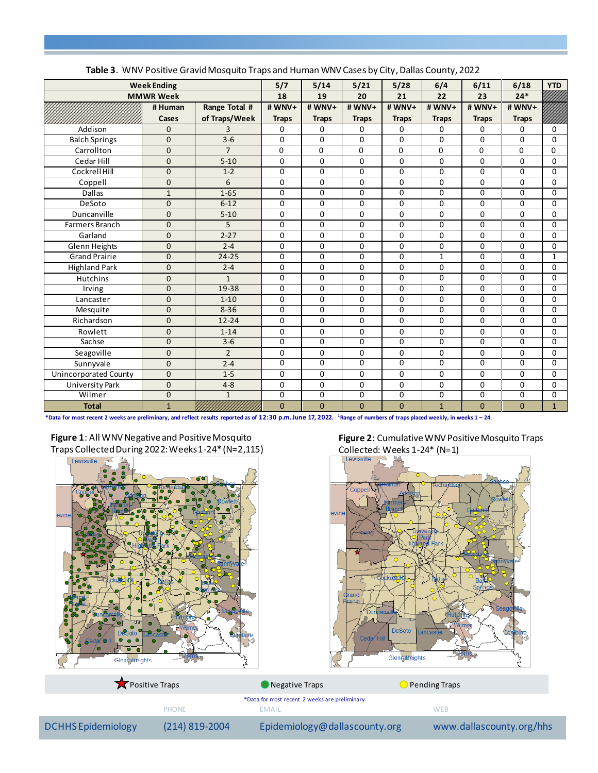| <b>Table 3:</b> With Tositive Grama mosquito Hupsund Haman With eases by enty, Banas county, 2022 | 5/7            | 5/14           | 5/21           | 5/28           | 6/4            | 6/11           | 6/18         | <b>YTD</b>   |              |                 |
|---------------------------------------------------------------------------------------------------|----------------|----------------|----------------|----------------|----------------|----------------|--------------|--------------|--------------|-----------------|
| <b>Week Ending</b><br><b>MMWR Week</b>                                                            |                |                | 18             | 19             | 20             | 21             | 22           | 23           | $24*$        |                 |
|                                                                                                   | # Human        | Range Total #  | #WNV+          | #WNV+          | #WNV+          | #WNV+          | #WNV+        | #WNV+        | #WNV+        |                 |
|                                                                                                   | Cases          | of Traps/Week  | <b>Traps</b>   | <b>Traps</b>   | <b>Traps</b>   | <b>Traps</b>   | <b>Traps</b> | <b>Traps</b> | <b>Traps</b> |                 |
| Addison                                                                                           | $\mathbf{0}$   | 3              | 0              | 0              | 0              | 0              | 0            | $\mathbf 0$  | 0            | 0               |
| <b>Balch Springs</b>                                                                              | $\Omega$       | $3 - 6$        | 0              | $\Omega$       | $\Omega$       | $\Omega$       | $\Omega$     | $\Omega$     | $\Omega$     | $\overline{0}$  |
| Carrollton                                                                                        | $\mathbf{0}$   | $\overline{7}$ | $\Omega$       | $\Omega$       | $\Omega$       | 0              | $\Omega$     | $\Omega$     | $\Omega$     | 0               |
| Cedar Hill                                                                                        | $\mathbf{0}$   | $5 - 10$       | 0              | 0              | $\Omega$       | 0              | $\Omega$     | 0            | 0            | $\Omega$        |
| Cockrell Hill                                                                                     | $\mathbf{0}$   | $1-2$          | 0              | $\Omega$       | $\Omega$       | $\Omega$       | $\Omega$     | $\Omega$     | $\Omega$     | $\overline{0}$  |
| Coppell                                                                                           | $\mathbf 0$    | 6              | 0              | 0              | $\mathbf 0$    | 0              | $\Omega$     | 0            | 0            | $\Omega$        |
| <b>Dallas</b>                                                                                     | $\mathbf{1}$   | $1 - 65$       | 0              | $\mathbf 0$    | $\mathbf 0$    | 0              | $\mathbf 0$  | 0            | 0            | $\mathbf 0$     |
| DeSoto                                                                                            | $\Omega$       | $6 - 12$       | 0              | $\Omega$       | $\Omega$       | $\Omega$       | 0            | $\Omega$     | $\Omega$     | $\Omega$        |
| Duncanville                                                                                       | $\mathbf{0}$   | $5 - 10$       | 0              | 0              | $\Omega$       | 0              | 0            | $\Omega$     | 0            | $\Omega$        |
| <b>Farmers Branch</b>                                                                             | $\overline{0}$ | $\overline{5}$ | $\overline{0}$ | $\overline{0}$ | $\Omega$       | $\overline{0}$ | $\Omega$     | $\Omega$     | 0            | $\overline{0}$  |
| Garland                                                                                           | $\mathbf{0}$   | $2 - 27$       | 0              | $\Omega$       | $\Omega$       | $\Omega$       | 0            | $\Omega$     | $\Omega$     | $\Omega$        |
| Glenn Heights                                                                                     | $\mathbf{0}$   | $2 - 4$        | 0              | 0              | 0              | 0              | 0            | 0            | 0            | $\Omega$        |
| <b>Grand Prairie</b>                                                                              | $\mathbf{0}$   | $24 - 25$      | 0              | $\mathbf 0$    | $\Omega$       | 0              | $\mathbf{1}$ | $\Omega$     | 0            | $\mathbf{1}$    |
| <b>Highland Park</b>                                                                              | $\mathbf 0$    | $2 - 4$        | 0              | $\mathbf 0$    | $\mathbf 0$    | $\Omega$       | 0            | $\Omega$     | 0            | $\Omega$        |
| <b>Hutchins</b>                                                                                   | $\mathbf{0}$   | $\mathbf{1}$   | 0              | $\Omega$       | $\Omega$       | $\Omega$       | $\Omega$     | $\Omega$     | 0            | $\Omega$        |
| Irving                                                                                            | $\mathbf 0$    | $19 - 38$      | 0              | $\Omega$       | $\Omega$       | $\Omega$       | 0            | $\Omega$     | 0            | $\Omega$        |
| Lancaster                                                                                         | $\mathbf{0}$   | $1 - 10$       | 0              | 0              | $\mathbf 0$    | 0              | 0            | 0            | 0            | $\Omega$        |
| Mesquite                                                                                          | $\mathbf{0}$   | $8 - 36$       | 0              | 0              | 0              | 0              | 0            | 0            | 0            | $\Omega$        |
| Richardson                                                                                        | $\mathbf 0$    | $12 - 24$      | 0              | 0              | $\Omega$       | $\Omega$       | 0            | $\Omega$     | 0            | $\Omega$        |
| Rowlett                                                                                           | $\mathbf 0$    | $1 - 14$       | 0              | $\Omega$       | $\Omega$       | $\Omega$       | $\Omega$     | $\Omega$     | 0            | $\Omega$        |
| Sachse                                                                                            | $\Omega$       | $3-6$          | 0              | $\mathbf{0}$   | $\Omega$       | $\Omega$       | $\Omega$     | $\Omega$     | $\Omega$     | $\Omega$        |
| Seagoville                                                                                        | $\mathbf 0$    | $\overline{2}$ | 0              | 0              | $\mathbf 0$    | 0              | $\Omega$     | $\Omega$     | 0            | $\Omega$        |
| Sunnyvale                                                                                         | 0              | $2 - 4$        | 0              | 0              | $\overline{0}$ | $\overline{0}$ | 0            | 0            | 0            | $\overline{0}$  |
| Unincorporated County                                                                             | $\overline{0}$ | $1 - 5$        | 0              | $\mathbf 0$    | $\Omega$       | 0              | $\Omega$     | $\Omega$     | 0            | $\Omega$        |
| University Park                                                                                   | $\mathbf 0$    | $4 - 8$        | 0              | $\Omega$       | $\Omega$       | $\Omega$       | $\Omega$     | $\Omega$     | $\Omega$     | $\Omega$        |
| Wilmer                                                                                            | $\mathbf 0$    | $\mathbf{1}$   | 0              | 0              | $\mathbf 0$    | 0              | $\Omega$     | 0            | 0            | $\Omega$        |
| <b>Total</b>                                                                                      | $\mathbf{1}$   |                | $\overline{0}$ | $\mathbf{0}$   | $\mathbf{0}$   | $\overline{0}$ | $\mathbf{1}$ | $\mathbf{0}$ | $\mathbf{0}$ | $1\overline{ }$ |

|  |  |  | Table 3. WNV Positive Gravid Mosquito Traps and Human WNV Cases by City, Dallas County, 2022 |
|--|--|--|----------------------------------------------------------------------------------------------|
|--|--|--|----------------------------------------------------------------------------------------------|

**\*Data for most recent 2 weeks are preliminary, and reflect results reported as of 12:30 p.m. June 17, 2022. <sup>1</sup>Range of numbers of traps placed weekly, in weeks 1 – 24.** 









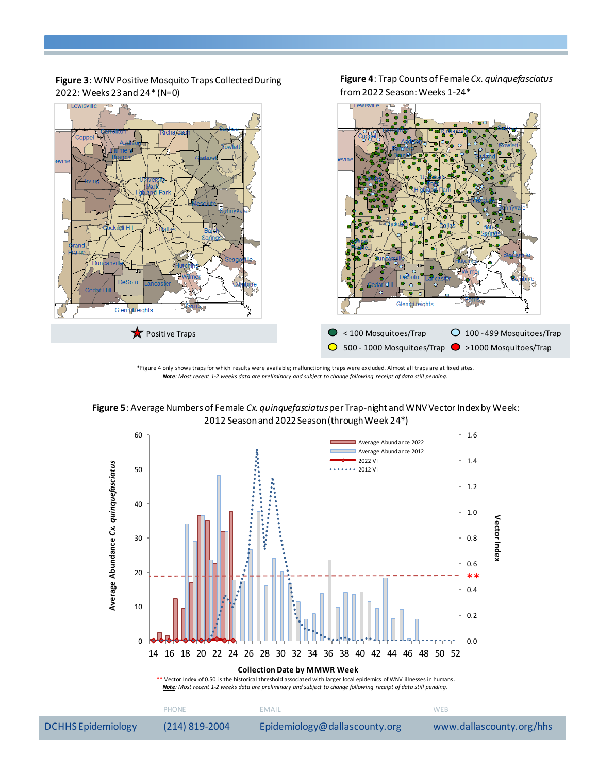

**Figure 4**: Trap Counts of Female *Cx. quinquefasciatus*

from 2022 Season: Weeks 1-24\*

**Figure 3**: WNV Positive Mosquito Traps Collected During 2022: Weeks 23and 24\* (N=0)

\*Figure 4 only shows traps for which results were available; malfunctioning traps were excluded. Almost all traps are at fixed sites. *Note: Most recent 1-2 weeks data are preliminary and subject to change following receipt of data still pending.*

**Figure 5**: Average Numbers of Female *Cx. quinquefasciatus*per Trap-night and WNV Vector Index by Week: 2012 Season and 2022Season (through Week 24\*)



DCHHS Epidemiology (214) 819-2004 Epidemiology@dallascounty.org www.dallascounty.org/hhs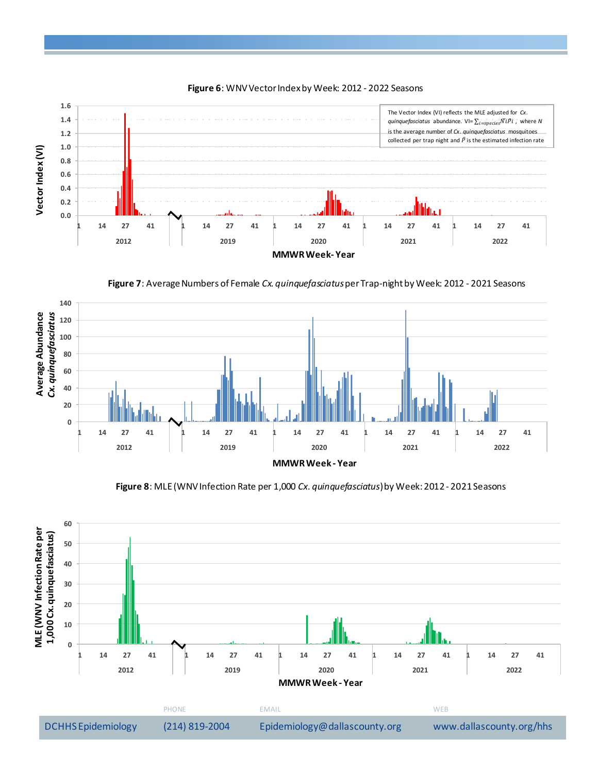

**Figure 6**: WNV Vector Index by Week: 2012 - 2022 Seasons





**Figure 8**: MLE (WNV Infection Rate per 1,000 *Cx. quinquefasciatus*) by Week:2012 - 2021 Seasons

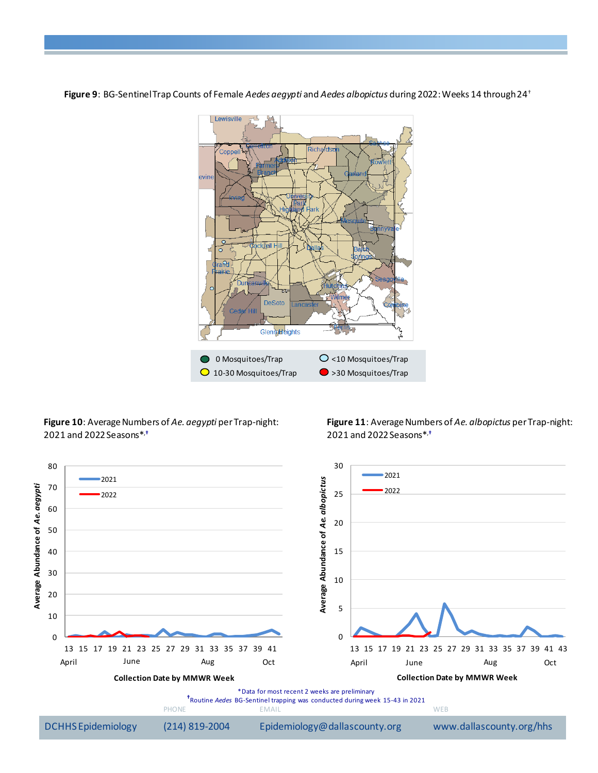**Figure 9**: BG-Sentinel Trap Counts of Female *Aedes aegypti* and *Aedes albopictus* during 2022: Weeks 14 through 24 †



**Figure 10**: Average Numbers of *Ae. aegypti* per Trap-night: and 2022Seasons\*,**†**

**Figure 11**: Average Numbers of *Ae. albopictus* per Trap-night: and 2022Seasons\*,**†**